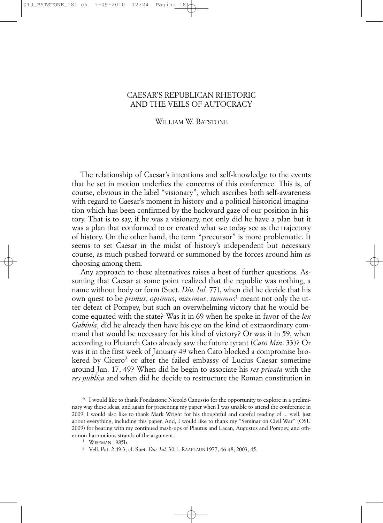#### CAESAR'S REPUBLICAN RHETORIC AND THE VEILS OF AUTOCRACY

#### WILLIAM W. BATSTONE

The relationship of Caesar's intentions and self-knowledge to the events that he set in motion underlies the concerns of this conference. This is, of course, obvious in the label "visionary", which ascribes both self-awareness with regard to Caesar's moment in history and a political-historical imagination which has been confirmed by the backward gaze of our position in history. That is to say, if he was a visionary, not only did he have a plan but it was a plan that conformed to or created what we today see as the trajectory of history. On the other hand, the term "precursor" is more problematic. It seems to set Caesar in the midst of history's independent but necessary course, as much pushed forward or summoned by the forces around him as choosing among them.

Any approach to these alternatives raises a host of further questions. Assuming that Caesar at some point realized that the republic was nothing, a name without body or form (Suet. *Div. Iul.* 77), when did he decide that his own quest to be *primus*, *optimus*, *maximus*, *summus*<sup>1</sup> meant not only the utter defeat of Pompey, but such an overwhelming victory that he would become equated with the state? Was it in 69 when he spoke in favor of the *lex Gabinia*, did he already then have his eye on the kind of extraordinary command that would be necessary for his kind of victory? Or was it in 59, when according to Plutarch Cato already saw the future tyrant (*Cato Min*. 33)? Or was it in the first week of January 49 when Cato blocked a compromise brokered by Cicero<sup>2</sup> or after the failed embassy of Lucius Caesar sometime around Jan. 17, 49? When did he begin to associate his *res privata* with the *res publica* and when did he decide to restructure the Roman constitution in

\* I would like to thank Fondazione Niccolò Canussio for the opportunity to explore in a preliminary way these ideas, and again for presenting my paper when I was unable to attend the conference in 2009. I would also like to thank Mark Wright for his thoughtful and careful reading of ... well, just about everything, including this paper. And, I would like to thank my "Seminar on Civil War" (OSU 2009) for bearing with my continued mash-ups of Plautus and Lacan, Augustus and Pompey, and other non-harmonious strands of the argument.

<sup>1</sup> WISEMAN 1985b. 2 Vell. Pat. 2,49,3; cf. Suet. *Div. Iul.* 30,1. RAAFLAUB 1977, 46-48; 2003, 45.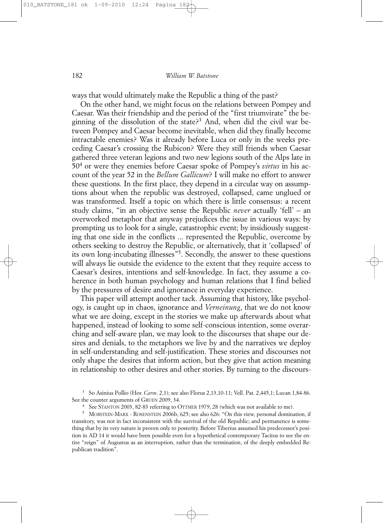ways that would ultimately make the Republic a thing of the past?

On the other hand, we might focus on the relations between Pompey and Caesar. Was their friendship and the period of the "first triumvirate" the beginning of the dissolution of the state?<sup>3</sup> And, when did the civil war between Pompey and Caesar become inevitable, when did they finally become intractable enemies? Was it already before Luca or only in the weeks preceding Caesar's crossing the Rubicon? Were they still friends when Caesar gathered three veteran legions and two new legions south of the Alps late in 504 or were they enemies before Caesar spoke of Pompey's *virtus* in his account of the year 52 in the *Bellum Gallicum*? I will make no effort to answer these questions. In the first place, they depend in a circular way on assumptions about when the republic was destroyed, collapsed, came unglued or was transformed. Itself a topic on which there is little consensus: a recent study claims, "in an objective sense the Republic *never* actually 'fell' – an overworked metaphor that anyway prejudices the issue in various ways: by prompting us to look for a single, catastrophic event; by insidiously suggesting that one side in the conflicts ... represented the Republic, overcome by others seeking to destroy the Republic, or alternatively, that it 'collapsed' of its own long-incubating illnesses"5. Secondly, the answer to these questions will always lie outside the evidence to the extent that they require access to Caesar's desires, intentions and self-knowledge. In fact, they assume a coherence in both human psychology and human relations that I find belied by the pressures of desire and ignorance in everyday experience.

This paper will attempt another tack. Assuming that history, like psychology, is caught up in chaos, ignorance and *Verneinung*, that we do not know what we are doing, except in the stories we make up afterwards about what happened, instead of looking to some self-conscious intention, some overarching and self-aware plan, we may look to the discourses that shape our desires and denials, to the metaphors we live by and the narratives we deploy in self-understanding and self-justification. These stories and discourses not only shape the desires that inform action, but they give that action meaning in relationship to other desires and other stories. By turning to the discours-

<sup>3</sup> So Asinius Pollio (Hor. *Carm*. 2,1); see also Florus 2,13,10-11; Vell. Pat. 2,445,1; Lucan 1,84-86. See the counter arguments of GRUEN 2009, 34.

<sup>4</sup> See STANTON 2003, 82-83 referring to OTTMER 1979, 28 (which was not available to me).

<sup>5</sup> MORSTEIN-MARX - ROSENSTEIN 2006b, 625; see also 626: "On this view, personal domination, if transitory, was not in fact inconsistent with the survival of the old Republic; and permanence is something that by its very nature is proven only to posterity. Before Tiberius assumed his predecessor's position in AD 14 it would have been possible even for a hypothetical contemporary Tacitus to see the entire "reign" of Augustus as an interruption, rather than the termination, of the deeply embedded Republican tradition".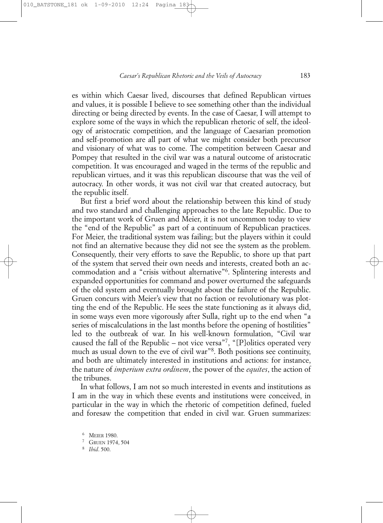es within which Caesar lived, discourses that defined Republican virtues and values, it is possible I believe to see something other than the individual directing or being directed by events. In the case of Caesar, I will attempt to explore some of the ways in which the republican rhetoric of self, the ideology of aristocratic competition, and the language of Caesarian promotion and self-promotion are all part of what we might consider both precursor and visionary of what was to come. The competition between Caesar and Pompey that resulted in the civil war was a natural outcome of aristocratic competition. It was encouraged and waged in the terms of the republic and republican virtues, and it was this republican discourse that was the veil of autocracy. In other words, it was not civil war that created autocracy, but the republic itself.

But first a brief word about the relationship between this kind of study and two standard and challenging approaches to the late Republic. Due to the important work of Gruen and Meier, it is not uncommon today to view the "end of the Republic" as part of a continuum of Republican practices. For Meier, the traditional system was failing; but the players within it could not find an alternative because they did not see the system as the problem. Consequently, their very efforts to save the Republic, to shore up that part of the system that served their own needs and interests, created both an accommodation and a "crisis without alternative"6. Splintering interests and expanded opportunities for command and power overturned the safeguards of the old system and eventually brought about the failure of the Republic. Gruen concurs with Meier's view that no faction or revolutionary was plotting the end of the Republic. He sees the state functioning as it always did, in some ways even more vigorously after Sulla, right up to the end when "a series of miscalculations in the last months before the opening of hostilities" led to the outbreak of war. In his well-known formulation, "Civil war caused the fall of the Republic – not vice versa"<sup>7</sup>, "[P]olitics operated very much as usual down to the eve of civil war"8. Both positions see continuity, and both are ultimately interested in institutions and actions: for instance, the nature of *imperium extra ordinem*, the power of the *equites*, the action of the tribunes.

In what follows, I am not so much interested in events and institutions as I am in the way in which these events and institutions were conceived, in particular in the way in which the rhetoric of competition defined, fueled and foresaw the competition that ended in civil war. Gruen summarizes:

<sup>6</sup> MEIER 1980.

<sup>7</sup> GRUEN 1974, 504

<sup>8</sup> *Ibid*. 500.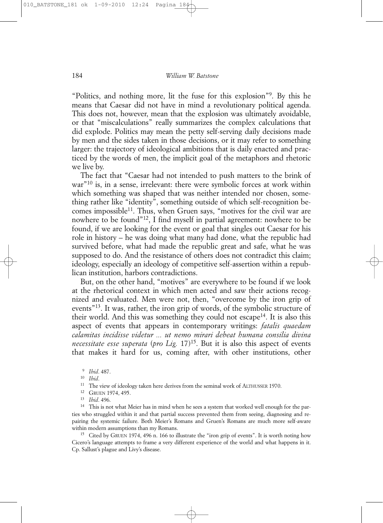"Politics, and nothing more, lit the fuse for this explosion"9. By this he means that Caesar did not have in mind a revolutionary political agenda. This does not, however, mean that the explosion was ultimately avoidable, or that "miscalculations" really summarizes the complex calculations that did explode. Politics may mean the petty self-serving daily decisions made by men and the sides taken in those decisions, or it may refer to something larger: the trajectory of ideological ambitions that is daily enacted and practiced by the words of men, the implicit goal of the metaphors and rhetoric we live by.

The fact that "Caesar had not intended to push matters to the brink of war"10 is, in a sense, irrelevant: there were symbolic forces at work within which something was shaped that was neither intended nor chosen, something rather like "identity", something outside of which self-recognition becomes impossible<sup>11</sup>. Thus, when Gruen says, "motives for the civil war are nowhere to be found"12, I find myself in partial agreement: nowhere to be found, if we are looking for the event or goal that singles out Caesar for his role in history – he was doing what many had done, what the republic had survived before, what had made the republic great and safe, what he was supposed to do. And the resistance of others does not contradict this claim; ideology, especially an ideology of competitive self-assertion within a republican institution, harbors contradictions.

But, on the other hand, "motives" are everywhere to be found if we look at the rhetorical context in which men acted and saw their actions recognized and evaluated. Men were not, then, "overcome by the iron grip of events"13. It was, rather, the iron grip of words, of the symbolic structure of their world. And this was something they could not escape<sup>14</sup>. It is also this aspect of events that appears in contemporary writings: *fatalis quaedam calamitas incidisse videtur ... ut nemo mirari debeat humana consilia divina necessitate esse superata* (*pro Lig.* 17)<sup>15</sup>. But it is also this aspect of events that makes it hard for us, coming after, with other institutions, other

- <sup>11</sup> The view of ideology taken here derives from the seminal work of ALTHUSSER 1970.<br><sup>12</sup> GRUEN 1974, 495.
- 
- <sup>13</sup> *Ibid*. 496.

<sup>14</sup> This is not what Meier has in mind when he sees a system that worked well enough for the parties who struggled within it and that partial success prevented them from seeing, diagnosing and repairing the systemic failure. Both Meier's Romans and Gruen's Romans are much more self-aware within modern assumptions than my Romans.

<sup>15</sup> Cited by GRUEN 1974, 496 n. 166 to illustrate the "iron grip of events". It is worth noting how Cicero's language attempts to frame a very different experience of the world and what happens in it. Cp. Sallust's plague and Livy's disease.

<sup>9</sup> *Ibid*. 487.

<sup>10</sup> *Ibid*.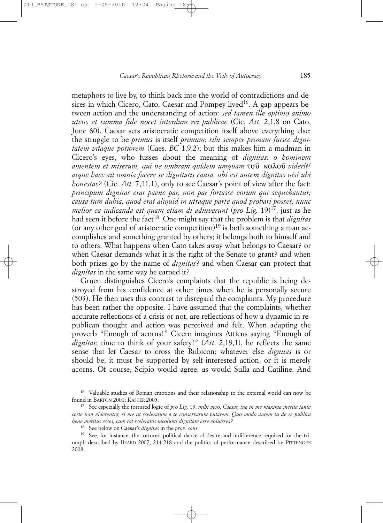metaphors to live by, to think back into the world of contradictions and desires in which Cicero, Cato, Caesar and Pompey lived<sup>16</sup>. A gap appears between action and the understanding of action: *sed tamen ille optimo animo utens et summa fide nocet interdum rei publicae* (Cic. *Att.* 2,1,8 on Cato, June 60). Caesar sets aristocratic competition itself above everything else: the struggle to be *primus* is itself *primum*: *sibi semper primam fuisse dignitatem vitaque potiorem* (Caes. *BC* 1,9,2); but this makes him a madman in Cicero's eyes, who fusses about the meaning of *dignitas*: *o hominem amentem et miserum, qui ne umbram quidem umquam* του `καλου`*viderit! atque haec ait omnia facere se dignitatis causa. ubi est autem dignitas nisi ubi honestas?* (Cic. *Att.* 7,11,1), only to see Caesar's point of view after the fact: *principum dignitas erat paene par, non par fortasse eorum qui sequebantur; causa tum dubia, quod erat aliquid in utraque parte quod probari posset; nunc melior ea iudicanda est quam etiam di adiuverunt* (*pro Lig.* 19)17, just as he had seen it before the fact<sup>18</sup>. One might say that the problem is that *dignitas* (or any other goal of aristocratic competition)<sup>19</sup> is both something a man accomplishes and something granted by others; it belongs both to himself and to others. What happens when Cato takes away what belongs to Caesar? or when Caesar demands what it is the right of the Senate to grant? and when both prizes go by the name of *dignitas*? and when Caesar can protect that *dignitas* in the same way he earned it?

Gruen distinguishes Cicero's complaints that the republic is being destroyed from his confidence at other times when he is personally secure (503). He then uses this contrast to disregard the complaints. My procedure has been rather the opposite. I have assumed that the complaints, whether accurate reflections of a crisis or not, are reflections of how a dynamic in republican thought and action was perceived and felt. When adapting the proverb "Enough of acorns!" Cicero imagines Atticus saying "Enough of *dignitas*; time to think of your safety!" (*Att*. 2,19,1), he reflects the same sense that let Caesar to cross the Rubicon: whatever else *dignitas* is or should be, it must be supported by self-interested action, or it is merely acorns. Of course, Scipio would agree, as would Sulla and Catiline. And

<sup>16</sup> Valuable studies of Roman emotions and their relationship to the external world can now be found in BARTON 2001; KASTER 2005.

<sup>17</sup> See especially the tortured logic of *pro Lig.* 19: *mihi vero, Caesar, tua in me maxima merita tanta certe non viderentur, si me ut sceleratum a te conservatum putarem. Quo modo autem tu de re publica bene meritus esses, cum tot sceleratos incolumi dignitate esse voluisses?*

<sup>18</sup> See below on Caesar's *dignitas* in the *prov. cons.*

<sup>&</sup>lt;sup>19</sup> See, for instance, the tortured political dance of desire and indifference required for the triumph described by BEARD 2007, 214-218 and the politics of performance described by PITTENGER 2008.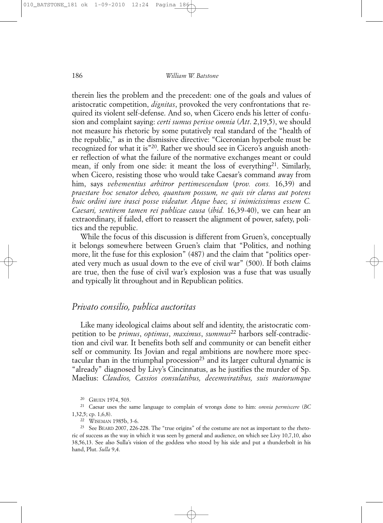therein lies the problem and the precedent: one of the goals and values of aristocratic competition, *dignitas*, provoked the very confrontations that required its violent self-defense. And so, when Cicero ends his letter of confusion and complaint saying: *certi sumus perisse omnia* (*Att*. 2,19,5), we should not measure his rhetoric by some putatively real standard of the "health of the republic," as in the dismissive directive: "Ciceronian hyperbole must be recognized for what it is"20. Rather we should see in Cicero's anguish another reflection of what the failure of the normative exchanges meant or could mean, if only from one side: it meant the loss of everything  $2^1$ . Similarly, when Cicero, resisting those who would take Caesar's command away from him, says *vehementius arbitror pertimescendum* (*prov. cons.* 16,39) and *praestare hoc senator debeo, quantum possum, ne quis vir clarus aut potens huic ordini iure irasci posse videatur. Atque haec, si inimicissimus essem C. Caesari, sentirem tamen rei publicae causa* (*ibid.* 16,39-40), we can hear an extraordinary, if failed, effort to reassert the alignment of power, safety, politics and the republic.

While the focus of this discussion is different from Gruen's, conceptually it belongs somewhere between Gruen's claim that "Politics, and nothing more, lit the fuse for this explosion" (487) and the claim that "politics operated very much as usual down to the eve of civil war" (500). If both claims are true, then the fuse of civil war's explosion was a fuse that was usually and typically lit throughout and in Republican politics.

#### *Privato consilio, publica auctoritas*

Like many ideological claims about self and identity, the aristocratic competition to be *primus*, *optimus*, *maximus*, *summus*<sup>22</sup> harbors self-contradiction and civil war. It benefits both self and community or can benefit either self or community. Its Jovian and regal ambitions are nowhere more spectacular than in the triumphal procession<sup>23</sup> and its larger cultural dynamic is "already" diagnosed by Livy's Cincinnatus, as he justifies the murder of Sp. Maelius: *Claudios, Cassios consulatibus, decemviratibus, suis maiorumque*

<sup>20</sup> GRUEN 1974, 503.

<sup>22</sup> WISEMAN 1985b, 3-6.

<sup>23</sup> See BEARD 2007, 226-228. The "true origins" of the costume are not as important to the rhetoric of success as the way in which it was seen by general and audience, on which see Livy 10,7,10, also 38,56,13. See also Sulla's vision of the goddess who stood by his side and put a thunderbolt in his hand, Plut. *Sulla* 9,4.

<sup>21</sup> Caesar uses the same language to complain of wrongs done to him: *omnia permiscere* (*BC* 1,32,5; cp. 1,6,8).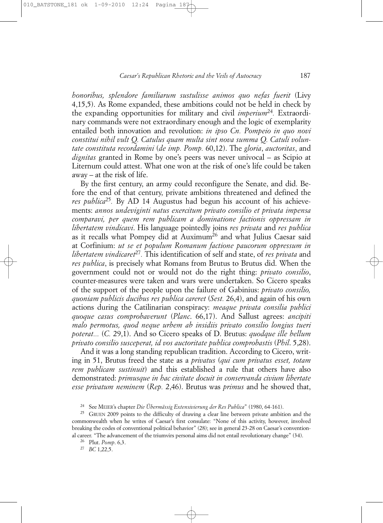*honoribus, splendore familiarum sustulisse animos quo nefas fuerit* (Livy 4,15,5). As Rome expanded, these ambitions could not be held in check by the expanding opportunities for military and civil *imperium*24*.* Extraordinary commands were not extraordinary enough and the logic of exemplarity entailed both innovation and revolution: *in ipso Cn. Pompeio in quo novi constitui nihil vult Q. Catulus quam multa sint nova summa Q. Catuli voluntate constituta recordamini* (*de imp. Pomp.* 60,12). The *gloria*, *auctoritas*, and *dignitas* granted in Rome by one's peers was never univocal – as Scipio at Liternum could attest. What one won at the risk of one's life could be taken away – at the risk of life.

By the first century, an army could reconfigure the Senate, and did. Before the end of that century, private ambitions threatened and defined the *res publica*<sup>25</sup>. By AD 14 Augustus had begun his account of his achievements: *annos undeviginti natus exercitum privato consilio et privata impensa comparavi, per quem rem publicam a dominatione factionis oppressam in libertatem vindicavi*. His language pointedly joins *res privata* and *res publica* as it recalls what Pompey did at Auximum26 and what Julius Caesar said at Corfinium: *ut se et populum Romanum factione paucorum oppressum in libertatem vindicaret*27*.* This identification of self and state, of *res privata* and *res publica*, is precisely what Romans from Brutus to Brutus did. When the government could not or would not do the right thing: *privato consilio*, counter-measures were taken and wars were undertaken. So Cicero speaks of the support of the people upon the failure of Gabinius: *privato consilio, quoniam publicis ducibus res publica careret* (*Sest.* 26,4), and again of his own actions during the Catilinarian conspiracy: *meaque privata consilia publici quoque casus comprobaverunt* (*Planc*. 66,17). And Sallust agrees: *ancipiti malo permotus, quod neque urbem ab insidiis privato consilio longius tueri poterat...* (*C.* 29,1). And so Cicero speaks of D. Brutus: *quodque ille bellum privato consilio susceperat, id vos auctoritate publica comprobastis* (*Phil*. 5,28).

And it was a long standing republican tradition. According to Cicero, writing in 51, Brutus freed the state as a *privatus* (*qui cum privatus esset, totam rem publicam sustinuit*) and this established a rule that others have also demonstrated: *primusque in hac civitate docuit in conservanda civium libertate esse privatum neminem* (*Rep.* 2,46). Brutus was *primus* and he showed that,

<sup>24</sup> See MEIER's chapter *Die Übermässig Extensivierung der Res Publica*" (1980, 64-161).

<sup>&</sup>lt;sup>25</sup> GRUEN 2009 points to the difficulty of drawing a clear line between private ambition and the commonwealth when he writes of Caesar's first consulate: "None of this activity, however, involved breaking the codes of conventional political behavior" (28); see in general 23-28 on Caesar's conventional career. "The advancement of the triumvirs personal aims did not entail revolutionary change" (34).

<sup>26</sup> Plut. *Pomp*. 6,3.

<sup>27</sup> *BC* 1,22,5.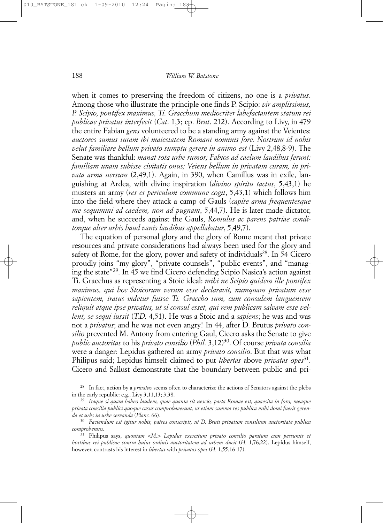when it comes to preserving the freedom of citizens, no one is a *privatus*. Among those who illustrate the principle one finds P. Scipio: *vir amplissimus, P. Scipio, pontifex maximus, Ti. Gracchum mediocriter labefactantem statum rei publicae privatus interfecit* (*Cat*. 1,3; cp. *Brut*. 212). According to Livy, in 479 the entire Fabian *gens* volunteered to be a standing army against the Veientes: *auctores sumus tutam ibi maiestatem Romani nominis fore. Nostrum id nobis velut familiare bellum privato sumptu gerere in animo est* (Livy 2,48,8-9). The Senate was thankful: *manat tota urbe rumor; Fabios ad caelum laudibus ferunt: familiam unam subisse civitatis onus; Veiens bellum in privatam curam, in privata arma uersum* (2,49,1). Again, in 390, when Camillus was in exile, languishing at Ardea, with divine inspiration (*divino spiritu tactus*, 5,43,1) he musters an army (*res et periculum commune cogit*, 5,43,1) which follows him into the field where they attack a camp of Gauls (*capite arma frequentesque me sequimini ad caedem, non ad pugnam*, 5,44,7). He is later made dictator, and, when he succeeds against the Gauls, *Romulus ac parens patriae conditorque alter urbis haud vanis laudibus appellabatur*, 5,49,7).

The equation of personal glory and the glory of Rome meant that private resources and private considerations had always been used for the glory and safety of Rome, for the glory, power and safety of individuals<sup>28</sup>. In 54 Cicero proudly joins "my glory", "private counsels", "public events", and "managing the state"29. In 45 we find Cicero defending Scipio Nasica's action against Ti. Gracchus as representing a Stoic ideal: *mihi ne Scipio quidem ille pontifex maximus, qui hoc Stoicorum verum esse declaravit, numquam privatum esse sapientem, iratus videtur fuisse Ti. Graccho tum, cum consulem languentem reliquit atque ipse privatus, ut si consul esset, qui rem publicam salvam esse vellent, se sequi iussit* (*T.D.* 4,51). He was a Stoic and a *sapiens*; he was and was not a *privatus*; and he was not even angry! In 44, after D. Brutus *privato consilio* prevented M. Antony from entering Gaul, Cicero asks the Senate to give *public auctoritas* to his *privato consilio* (*Phil.* 3,12)30. Of course *privata consilia* were a danger: Lepidus gathered an army *privato consilio*. But that was what Philipus said; Lepidus himself claimed to put *libertas* above *privatas opes*<sup>31</sup>. Cicero and Sallust demonstrate that the boundary between public and pri-

<sup>28</sup> In fact, action by a *privatus* seems often to characterize the actions of Senators against the plebs in the early republic: e.g., Livy 3,11,13; 3,38.

<sup>30</sup> *Faciendum est igitur nobis, patres conscripti, ut D. Bruti privatum consilium auctoritate publica comprobemus.*

<sup>31</sup> Philipus says, *quoniam <M.> Lepidus exercitum privato consilio paratum cum pessumis et hostibus rei publicae contra huius ordinis auctoritatem ad urbem ducit* (*H.* 1,76,22). Lepidus himself, however, contrasts his interest in *libertas* with *privatas opes* (*H.* 1,55,16-17).

<sup>29</sup> *Itaque si quam habeo laudem, quae quanta sit nescio, parta Romae est, quaesita in foro; meaque privata consilia publici quoque casus comprobaverunt, ut etiam summa res publica mihi domi fuerit gerenda et urbs in urbe servanda* (*Planc.* 66).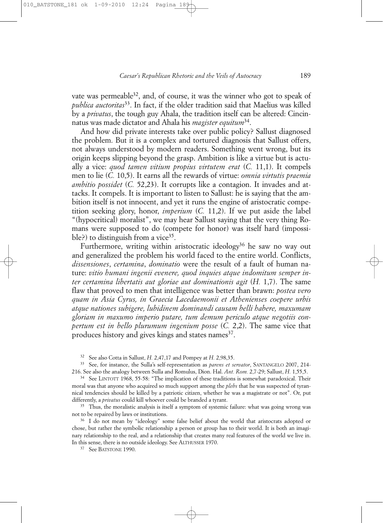vate was permeable<sup>32</sup>, and, of course, it was the winner who got to speak of *publica auctoritas*33. In fact, if the older tradition said that Maelius was killed by a *privatus*, the tough guy Ahala, the tradition itself can be altered: Cincinnatus was made dictator and Ahala his *magister equitum*34.

And how did private interests take over public policy? Sallust diagnosed the problem. But it is a complex and tortured diagnosis that Sallust offers, not always understood by modern readers. Something went wrong, but its origin keeps slipping beyond the grasp. Ambition is like a virtue but is actually a vice: *quod tamen vitium propius virtutem erat* (*C.* 11,1). It compels men to lie (*C.* 10,5). It earns all the rewards of virtue: *omnia virtutis praemia ambitio possidet* (*C.* 52,23). It corrupts like a contagion. It invades and attacks. It compels. It is important to listen to Sallust: he is saying that the ambition itself is not innocent, and yet it runs the engine of aristocratic competition seeking glory, honor, *imperium* (*C.* 11,2). If we put aside the label "(hypocritical) moralist", we may hear Sallust saying that the very thing Romans were supposed to do (compete for honor) was itself hard (impossible?) to distinguish from a vice<sup>35</sup>.

Furthermore, writing within aristocratic ideology<sup>36</sup> he saw no way out and generalized the problem his world faced to the entire world. Conflicts, *dissensiones*, *certamina*, *dominatio* were the result of a fault of human nature: *vitio humani ingenii evenere, quod inquies atque indomitum semper inter certamina libertatis aut gloriae aut dominationis agit* (*H.* 1,7). The same flaw that proved to men that intelligence was better than brawn: *postea vero quam in Asia Cyrus, in Graecia Lacedaemonii et Athenienses coepere urbis atque nationes subigere, lubidinem dominandi causam belli habere, maxumam gloriam in maxumo imperio putare, tum demum periculo atque negotiis conpertum est in bello plurumum ingenium posse* (*C.* 2,2). The same vice that produces history and gives kings and states names<sup>37</sup>.

<sup>32</sup> See also Cotta in Sallust, *H.* 2,47,17 and Pompey at *H.* 2,98,35.

<sup>33</sup> See, for instance, the Sulla's self-representation as *parens et servator*, SANTANGELO 2007, 214-<br>216. See also the analogy between Sulla and Romulus, Dion. Hal. *Ant. Rom.* 2,7-29; Sallust, *H.* 1,55,5.

<sup>34</sup> See LINTOTT 1968, 55-58: "The implication of these traditions is somewhat paradoxical. Their moral was that anyone who acquired so much support among the *plebs* that he was suspected of tyrannical tendencies should be killed by a patriotic citizen, whether he was a magistrate or not". Or, put differently, a *privatus* could kill whoever could be branded a tyrant.

<sup>35</sup> Thus, the moralistic analysis is itself a symptom of systemic failure: what was going wrong was not to be repaired by laws or institutions.

<sup>36</sup> I do not mean by "ideology" some false belief about the world that aristocrats adopted or chose, but rather the symbolic relationship a person or group has to their world. It is both an imaginary relationship to the real, and a relationship that creates many real features of the world we live in. In this sense, there is no outside ideology. See ALTHUSSER 1970.

<sup>37</sup> See BATSTONE 1990.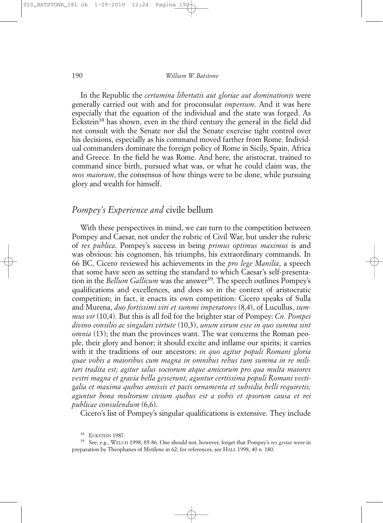In the Republic the *certamina libertatis aut gloriae aut dominationis* were generally carried out with and for proconsular *imperium*. And it was here especially that the equation of the individual and the state was forged. As Eckstein<sup>38</sup> has shown, even in the third century the general in the field did not consult with the Senate nor did the Senate exercise tight control over his decisions, especially as his command moved farther from Rome. Individual commanders dominate the foreign policy of Rome in Sicily, Spain, Africa and Greece. In the field he was Rome. And here, the aristocrat, trained to command since birth, pursued what was, or what he could claim was, the *mos maiorum*, the consensus of how things were to be done, while pursuing glory and wealth for himself.

# *Pompey's Experience and* civile bellum

With these perspectives in mind, we can turn to the competition between Pompey and Caesar, not under the rubric of Civil War, but under the rubric of *res publica*. Pompey's success in being *primus optimus maximus* is and was obvious: his cognomen, his triumphs, his extraordinary commands. In 66 BC, Cicero reviewed his achievements in the *pro lege Manilia*, a speech that some have seen as setting the standard to which Caesar's self-presentation in the *Bellum Gallicum* was the answer<sup>39</sup>. The speech outlines Pompey's qualifications and excellences, and does so in the context of aristocratic competition; in fact, it enacts its own competition: Cicero speaks of Sulla and Murena, *duo fortissimi viri et summi imperatores* (8,4), of Lucullus, *summus vir* (10,4). But this is all foil for the brighter star of Pompey: *Cn. Pompei divino consilio ac singulari virtute* (10,3), *unum virum esse in quo summa sint omnia* (13); the man the provinces want. The war concerns the Roman people, their glory and honor; it should excite and inflame our spirits; it carries with it the traditions of our ancestors: *in quo agitur populi Romani gloria quae vobis a maioribus cum magna in omnibus rebus tum summa in re militari tradita est; agitur salus sociorum atque amicorum pro qua multa maiores vestri magna et gravia bella gesserunt; aguntur certissima populi Romani vectigalia et maxima quibus amissis et pacis ornamenta et subsidia belli requiretis; aguntur bona multorum civium quibus est a vobis et ipsorum causa et rei publicae consulendum* (6,6).

Cicero's list of Pompey's singular qualifications is extensive. They include

<sup>&</sup>lt;sup>38</sup> ECKSTEIN 1987.<br><sup>39</sup> See, e.g., WELCH 1998, 85-86. One should not, however, forget that Pompey's *res gestae* were in preparation by Theophanes of Mytilene in 62; for references, see HALL 1998, 40 n. 180.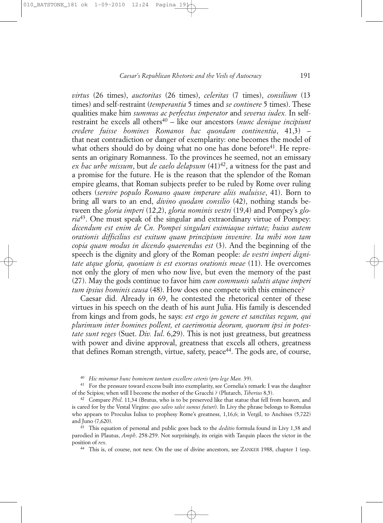*virtus* (26 times), *auctoritas* (26 times), *celeritas* (7 times), *consilium* (13 times) and self-restraint (*temperantia* 5 times and *se continere* 5 times). These qualities make him *summus ac perfectus imperator* and *severus iudex.* In selfrestraint he excels all others40 – like our ancestors (*nunc denique incipiunt credere fuisse homines Romanos hac quondam continentia*, 41,3) – that neat contradiction or danger of exemplarity: one becomes the model of what others should do by doing what no one has done before<sup>41</sup>. He represents an originary Romanness. To the provinces he seemed, not an emissary *ex hac urbe missum*, but *de caelo delapsum* (41)42, a witness for the past and a promise for the future. He is the reason that the splendor of the Roman empire gleams, that Roman subjects prefer to be ruled by Rome over ruling others (*servire populo Romano quam imperare aliis maluisse*, 41). Born to bring all wars to an end, *divino quodam consilio* (42), nothing stands between the *gloria imperi* (12,2), *gloria nominis vestri* (19,4) and Pompey's *gloria*43. One must speak of the singular and extraordinary virtue of Pompey: *dicendum est enim de Cn. Pompei singulari eximiaque virtute; huius autem orationis difficilius est exitum quam principium invenire. Ita mihi non tam copia quam modus in dicendo quaerendus est* (3). And the beginning of the speech is the dignity and glory of the Roman people: *de vestri imperi dignitate atque gloria, quoniam is est exorsus orationis meae* (11). He overcomes not only the glory of men who now live, but even the memory of the past (27). May the gods continue to favor him *cum communis salutis atque imperi tum ipsius hominis causa* (48). How does one compete with this eminence?

Caesar did. Already in 69, he contested the rhetorical center of these virtues in his speech on the death of his aunt Julia. His family is descended from kings and from gods, he says: *est ergo in genere et sanctitas regum, qui plurimum inter homines pollent, et caerimonia deorum, quorum ipsi in potestate sunt reges* (Suet. *Div. Iul*. 6,29). This is not just greatness, but greatness with power and divine approval, greatness that excels all others, greatness that defines Roman strength, virtue, safety, peace<sup>44</sup>. The gods are, of course,

<sup>40</sup> *Hic miramur hunc hominem tantum excellere ceteris* (*pro lege Man.* 39).

<sup>41</sup> For the pressure toward excess built into exemplarity, see Cornelia's remark: I was the daughter of the Scipios; when will I become the mother of the Gracchi ? (Plutarch, *Tiberius* 8,5).

<sup>42</sup> Compare *Phil*. 11,34 (Brutus, who is to be preserved like that statue that fell from heaven, and is cared for by the Vestal Virgins: *quo salvo salvi sumus futuri*). In Livy the phrase belongs to Romulus who appears to Proculus Iulius to prophesy Rome's greatness, 1,16,6; in Vergil, to Anchises (5,722) and Juno (7,620).

<sup>43</sup> This equation of personal and public goes back to the *deditio* formula found in Livy 1,38 and parodied in Plautus, *Amph*. 258-259. Not surprisingly, its origin with Tarquin places the victor in the position of *rex*.

<sup>44</sup> This is, of course, not new. On the use of divine ancestors, see ZANKER 1988, chapter 1 (esp.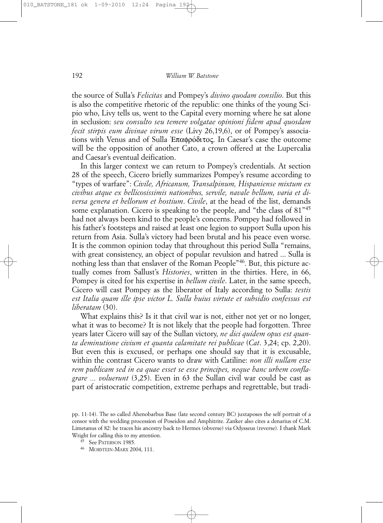the source of Sulla's *Felicitas* and Pompey's *divino quodam consilio*. But this is also the competitive rhetoric of the republic: one thinks of the young Scipio who, Livy tells us, went to the Capital every morning where he sat alone in seclusion: *seu consulto seu temere volgatae opinioni fidem apud quosdam fecit stirpis eum divinae virum esse* (Livy 26,19,6), or of Pompey's associations with Venus and of Sulla Επαφρόδιτος. In Caesar's case the outcome will be the opposition of another Cato, a crown offered at the Lupercalia and Caesar's eventual deification.

In this larger context we can return to Pompey's credentials. At section 28 of the speech, Cicero briefly summarizes Pompey's resume according to "types of warfare": *Civile, Africanum, Transalpinum, Hispaniense mixtum ex civibus atque ex bellicosissimis nationibus, servile, navale bellum, varia et diversa genera et bellorum et hostium*. *Civile*, at the head of the list, demands some explanation. Cicero is speaking to the people, and "the class of 81"45 had not always been kind to the people's concerns. Pompey had followed in his father's footsteps and raised at least one legion to support Sulla upon his return from Asia. Sulla's victory had been brutal and his peace even worse. It is the common opinion today that throughout this period Sulla "remains, with great consistency, an object of popular revulsion and hatred ... Sulla is nothing less than that enslaver of the Roman People"46. But, this picture actually comes from Sallust's *Histories*, written in the thirties. Here, in 66, Pompey is cited for his expertise in *bellum civile*. Later, in the same speech, Cicero will cast Pompey as the liberator of Italy according to Sulla: *testis est Italia quam ille ipse victor L. Sulla huius virtute et subsidio confessus est liberatam* (30).

What explains this? Is it that civil war is not, either not yet or no longer, what it was to become? It is not likely that the people had forgotten. Three years later Cicero will say of the Sullan victory, *ne dici quidem opus est quanta deminutione civium et quanta calamitate rei publicae* (*Cat*. 3,24; cp. 2,20). But even this is excused, or perhaps one should say that it is excusable, within the contrast Cicero wants to draw with Catiline: *non illi nullam esse rem publicam sed in ea quae esset se esse principes, neque hanc urbem conflagrare ... voluerunt* (3,25). Even in 63 the Sullan civil war could be cast as part of aristocratic competition, extreme perhaps and regrettable, but tradi-

pp. 11-14). The so called Ahenobarbus Base (late second century BC) juxtaposes the self portrait of a censor with the wedding procession of Poseidon and Amphitrite. Zanker also cites a denarius of C.M. Limetanus of 82: he traces his ancestry back to Hermes (obverse) via Odysseus (reverse). I thank Mark Wright for calling this to my attention.

<sup>45</sup> See PATERSON 1985.

<sup>46</sup> MORSTEIN-MARX 2004, 111.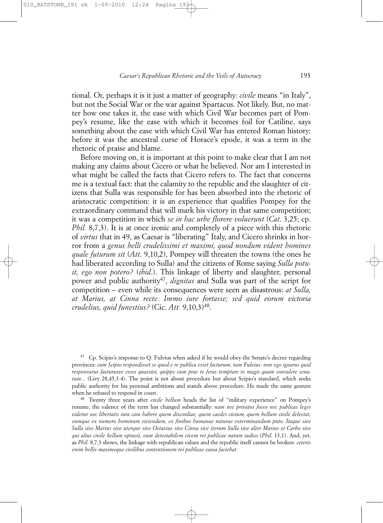tional. Or, perhaps it is it just a matter of geography: *civile* means "in Italy", but not the Social War or the war against Spartacus. Not likely. But, no matter how one takes it, the ease with which Civil War becomes part of Pompey's resume, like the ease with which it becomes foil for Catiline, says something about the ease with which Civil War has entered Roman history: before it was the ancestral curse of Horace's epode, it was a term in the rhetoric of praise and blame.

Before moving on, it is important at this point to make clear that I am not making any claims about Cicero or what he believed. Nor am I interested in what might be called the facts that Cicero refers to. The fact that concerns me is a textual fact: that the calamity to the republic and the slaughter of citizens that Sulla was responsible for has been absorbed into the rhetoric of aristocratic competition: it is an experience that qualifies Pompey for the extraordinary command that will mark his victory in that same competition; it was a competition in which *se in hac urbe florere voluerunt* (*Cat*. 3,25; cp. *Phil.* 8,7,3). It is at once ironic and completely of a piece with this rhetoric of *virtus* that in 49, as Caesar is "liberating" Italy, and Cicero shrinks in horror from a *genus belli crudelissimi et maximi, quod nondum vident homines quale futurum sit* (*Att*. 9,10,2), Pompey will threaten the towns (the ones he had liberated according to Sulla) and the citizens of Rome saying *Sulla potuit, ego non potero?* (*ibid*.). This linkage of liberty and slaughter, personal power and public authority47, *dignitas* and Sulla was part of the script for competition – even while its consequences were seen as disastrous: *at Sulla, at Marius, at Cinna recte. Immo iure fortasse; sed quid eorum victoria crudelius, quid funestius?* (Cic. *Att.* 9,10,3)48.

<sup>47</sup> Cp. Scipio's response to Q. Fulvius when asked if he would obey the Senate's decree regarding provinces: *cum Scipio respondisset se quod e re publica esset facturum, tum Fulvius: non ego ignarus quid responsurus facturusve esses quaesivi, quippe cum prae te feras temptare te magis quam consulere senatum...* (Livy 28,45,3-4). The point is not about procedure but about Scipio's standard, which seeks public authority for his personal ambitions and stands above procedure. He made the same gesture when he refused to respond in court.

<sup>48</sup> Twenty three years after *civile bellum* heads the list of "military experience" on Pompey's resume, the valence of the term has changed substantially: *nam nec privatos focos nec publicas leges videtur nec libertatis iura cara habere quem discordiae, quem caedes civium, quem bellum civile delectat, eumque ex numero hominum eiciendum, ex finibus humanae naturae exterminandum puto. Itaque sive Sulla sive Marius sive uterque sive Octavius sive Cinna sive iterum Sulla sive alter Marius et Carbo sive qui alius civile bellum optavit, eum detestabilem civem rei publicae natum iudico* (*Phil*. 13,1). And, yet, as *Phil*. 8,7,3 shows, the linkage with republican values and the republic itself cannot be broken: *ceteris enim bellis maximeque civilibus contentionem rei publicae causa faciebat.*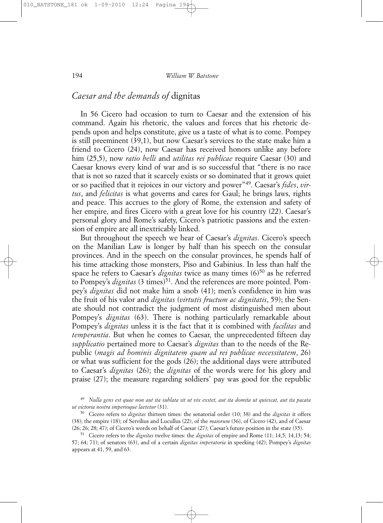# *Caesar and the demands of* dignitas

In 56 Cicero had occasion to turn to Caesar and the extension of his command. Again his rhetoric, the values and forces that his rhetoric depends upon and helps constitute, give us a taste of what is to come. Pompey is still preeminent (39,1), but now Caesar's services to the state make him a friend to Cicero (24), now Caesar has received honors unlike any before him (25,5), now *ratio belli* and *utilitas rei publicae* require Caesar (30) and Caesar knows every kind of war and is so successful that "there is no race that is not so razed that it scarcely exists or so dominated that it grows quiet or so pacified that it rejoices in our victory and power"49. Caesar's *fides*, *virtus*, and *felicitas* is what governs and cares for Gaul; he brings laws, rights and peace. This accrues to the glory of Rome, the extension and safety of her empire, and fires Cicero with a great love for his country (22). Caesar's personal glory and Rome's safety, Cicero's patriotic passions and the extension of empire are all inextricably linked.

But throughout the speech we hear of Caesar's *dignitas*. Cicero's speech on the Manilian Law is longer by half than his speech on the consular provinces. And in the speech on the consular provinces, he spends half of his time attacking those monsters, Piso and Gabinius. In less than half the space he refers to Caesar's *dignitas* twice as many times (6)<sup>50</sup> as he referred to Pompey's *dignitas* (3 times)<sup>51</sup>. And the references are more pointed. Pompey's *dignitas* did not make him a snob (41); men's confidence in him was the fruit of his valor and *dignitas* (*virtutis fructum ac dignitatis*, 59); the Senate should not contradict the judgment of most distinguished men about Pompey's *dignitas* (63). There is nothing particularly remarkable about Pompey's *dignitas* unless it is the fact that it is combined with *facilitas* and *temperantia*. But when he comes to Caesar, the unprecedented fifteen day *supplicatio* pertained more to Caesar's *dignitas* than to the needs of the Republic (*magis ad hominis dignitatem quam ad rei publicae necessitatem*, 26) or what was sufficient for the gods (26); the additional days were attributed to Caesar's *dignitas* (26); the *dignitas* of the words were for his glory and praise (27); the measure regarding soldiers' pay was good for the republic

<sup>49</sup> *Nulla gens est quae non aut ita sublata sit ut vix exstet, aut ita domita ut quiescat, aut ita pacata ut victoria nostra imperioque laetetur* (31). 50 Cicero refers to *dignitas* thirteen times: the senatorial order (10; 38) and the *dignitas* it offers

<sup>(38);</sup> the empire (18); of Servilius and Lucullus (22), of the *maiorum* (36), of Cicero (42), and of Caesar (26; 26; 28; 47); of Cicero's words on behalf of Caesar (27); Caesar's future position in the state (35). 51 Cicero refers to the *dignitas* twelve times: the *dignitas* of empire and Rome (11; 14,5; 14,13; 54;

<sup>57; 64; 71);</sup> of senators (63), and of a certain *dignitas imperatoria* in speeking (42); Pompey's *dignitas* appears at 41, 59, and 63.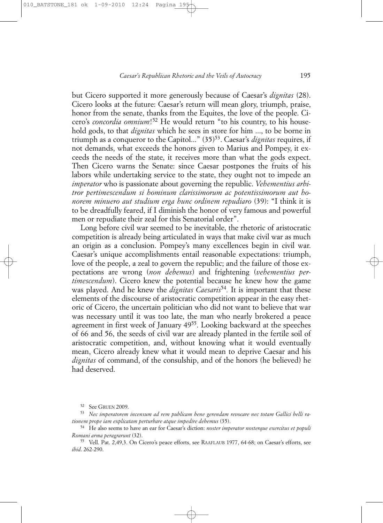but Cicero supported it more generously because of Caesar's *dignitas* (28). Cicero looks at the future: Caesar's return will mean glory, triumph, praise, honor from the senate, thanks from the Equites, the love of the people. Cicero's *concordia omnium*!52 He would return "to his country, to his household gods, to that *dignitas* which he sees in store for him ..., to be borne in triumph as a conqueror to the Capitol..." (35)53. Caesar's *dignitas* requires, if not demands, what exceeds the honors given to Marius and Pompey, it exceeds the needs of the state, it receives more than what the gods expect. Then Cicero warns the Senate: since Caesar postpones the fruits of his labors while undertaking service to the state, they ought not to impede an *imperator* who is passionate about governing the republic. *Vehementius arbitror pertimescendum si hominum clarissimorum ac potentissimorum aut honorem minuero aut studium erga hunc ordinem repudiaro* (39): "I think it is to be dreadfully feared, if I diminish the honor of very famous and powerful men or repudiate their zeal for this Senatorial order".

Long before civil war seemed to be inevitable, the rhetoric of aristocratic competition is already being articulated in ways that make civil war as much an origin as a conclusion. Pompey's many excellences begin in civil war. Caesar's unique accomplishments entail reasonable expectations: triumph, love of the people, a zeal to govern the republic; and the failure of those expectations are wrong (*non debemus*) and frightening (*vehementius pertimescendum*). Cicero knew the potential because he knew how the game was played. And he knew the *dignitas Caesaris*<sup>54</sup>. It is important that these elements of the discourse of aristocratic competition appear in the easy rhetoric of Cicero, the uncertain politician who did not want to believe that war was necessary until it was too late, the man who nearly brokered a peace agreement in first week of January 4955. Looking backward at the speeches of 66 and 56, the seeds of civil war are already planted in the fertile soil of aristocratic competition, and, without knowing what it would eventually mean, Cicero already knew what it would mean to deprive Caesar and his *dignitas* of command, of the consulship, and of the honors (he believed) he had deserved.

<sup>&</sup>lt;sup>52</sup> See GRUEN 2009.<br><sup>53</sup> Nec imperatorem incensum ad rem publicam bene gerendam revocare nec totam Gallici belli ra*tionem prope iam explicatam perturbare atque impedire debemus* (35). 54 He also seems to have an ear for Caesar's diction: *noster imperator nosterque exercitus et populi*

*Romani arma peragrarunt* (32).

<sup>55</sup> Vell. Pat. 2,49,3. On Cicero's peace efforts, see RAAFLAUB 1977, 64-68; on Caesar's efforts, see *ibid*. 262-290.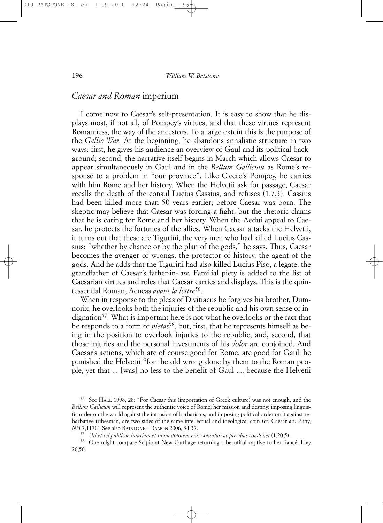### *Caesar and Roman* imperium

I come now to Caesar's self-presentation. It is easy to show that he displays most, if not all, of Pompey's virtues, and that these virtues represent Romanness, the way of the ancestors. To a large extent this is the purpose of the *Gallic War*. At the beginning, he abandons annalistic structure in two ways: first, he gives his audience an overview of Gaul and its political background; second, the narrative itself begins in March which allows Caesar to appear simultaneously in Gaul and in the *Bellum Gallicum* as Rome's response to a problem in "our province". Like Cicero's Pompey, he carries with him Rome and her history. When the Helvetii ask for passage, Caesar recalls the death of the consul Lucius Cassius, and refuses (1,7,3). Cassius had been killed more than 50 years earlier; before Caesar was born. The skeptic may believe that Caesar was forcing a fight, but the rhetoric claims that he is caring for Rome and her history. When the Aedui appeal to Caesar, he protects the fortunes of the allies. When Caesar attacks the Helvetii, it turns out that these are Tigurini, the very men who had killed Lucius Cassius: "whether by chance or by the plan of the gods," he says. Thus, Caesar becomes the avenger of wrongs, the protector of history, the agent of the gods. And he adds that the Tigurini had also killed Lucius Piso, a legate, the grandfather of Caesar's father-in-law. Familial piety is added to the list of Caesarian virtues and roles that Caesar carries and displays. This is the quintessential Roman, Aeneas *avant la lettre*56.

When in response to the pleas of Divitiacus he forgives his brother, Dumnorix, he overlooks both the injuries of the republic and his own sense of in $di$ gnation<sup>57</sup>. What is important here is not what he overlooks or the fact that he responds to a form of *pietas*58, but, first, that he represents himself as being in the position to overlook injuries to the republic, and, second, that those injuries and the personal investments of his *dolor* are conjoined. And Caesar's actions, which are of course good for Rome, are good for Gaul: he punished the Helvetii "for the old wrong done by them to the Roman people, yet that ... [was] no less to the benefit of Gaul ..., because the Helvetii

<sup>56</sup> See HALL 1998, 28: "For Caesar this (importation of Greek culture) was not enough, and the *Bellum Gallicum* will represent the authentic voice of Rome, her mission and destiny: imposing linguistic order on the world against the intrusion of barbarisms, and imposing political order on it against rebarbative tribesman, are two sides of the same intellectual and ideological coin (cf. Caesar ap. Pliny, *NH* 7,117)". See also BATSTONE - DAMON 2006, 34-37.

<sup>57</sup> *Uti et rei publicae iniuriam et suum dolorem eius voluntati ac precibus condonet* (1,20,5).

<sup>&</sup>lt;sup>58</sup> One might compare Scipio at New Carthage returning a beautiful captive to her fiancé, Livy 26,50.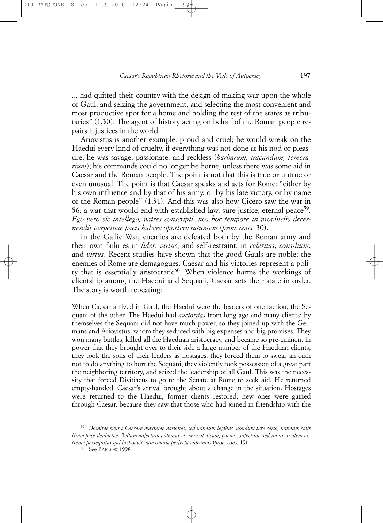... had quitted their country with the design of making war upon the whole of Gaul, and seizing the government, and selecting the most convenient and most productive spot for a home and holding the rest of the states as tributaries" (1,30). The agent of history acting on behalf of the Roman people repairs injustices in the world.

Ariovistus is another example: proud and cruel; he would wreak on the Haedui every kind of cruelty, if everything was not done at his nod or pleasure; he was savage, passionate, and reckless (*barbarum, iracundum, temerarium*); his commands could no longer be borne, unless there was some aid in Caesar and the Roman people. The point is not that this is true or untrue or even unusual. The point is that Caesar speaks and acts for Rome: "either by his own influence and by that of his army, or by his late victory, or by name of the Roman people" (1,31). And this was also how Cicero saw the war in 56: a war that would end with established law, sure justice, eternal peace<sup>59</sup>. *Ego vero sic intellego, patres conscripti, nos hoc tempore in provinciis decernendis perpetuae pacis habere oportere rationem* (*prov. cons.* 30).

In the Gallic War, enemies are defeated both by the Roman army and their own failures in *fides*, *virtus*, and self-restraint, in *celeritas*, *consilium*, and *virtus*. Recent studies have shown that the good Gauls are noble; the enemies of Rome are demagogues. Caesar and his victories represent a polity that is essentially aristocratic<sup>60</sup>. When violence harms the workings of clientship among the Haedui and Sequani, Caesar sets their state in order. The story is worth repeating:

When Caesar arrived in Gaul, the Haedui were the leaders of one faction, the Sequani of the other. The Haedui had *auctoritas* from long ago and many clients; by themselves the Sequani did not have much power, so they joined up with the Germans and Ariovistus, whom they seduced with big expenses and big promises. They won many battles, killed all the Haeduan aristocracy, and became so pre-eminent in power that they brought over to their side a large number of the Haeduan clients, they took the sons of their leaders as hostages, they forced them to swear an oath not to do anything to hurt the Sequani, they violently took possession of a great part the neighboring territory, and seized the leadership of all Gaul. This was the necessity that forced Divitiacus to go to the Senate at Rome to seek aid. He returned empty-handed. Caesar's arrival brought about a change in the situation. Hostages were returned to the Haedui, former clients restored, new ones were gained through Caesar, because they saw that those who had joined in friendship with the

<sup>59</sup> *Domitae sunt a Caesare maximae nationes, sed nondum legibus, nondum iure certo, nondum satis firma pace devinctae. Bellum adfectum videmus et, vere ut dicam, paene confectum, sed ita ut, si idem extrema persequitur qui inchoavit, iam omnia perfecta videamus* (*prov. cons.* 19).

<sup>60</sup> See BARLOW 1998.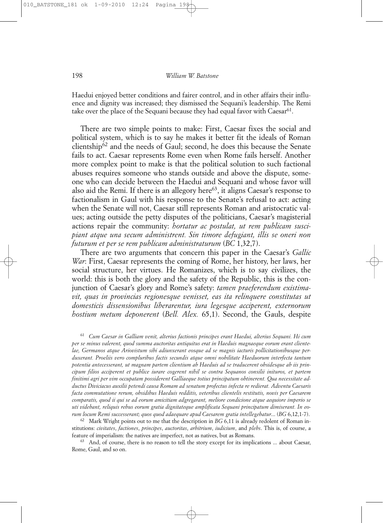Haedui enjoyed better conditions and fairer control, and in other affairs their influence and dignity was increased; they dismissed the Sequani's leadership. The Remi take over the place of the Sequani because they had equal favor with Caesar<sup>61</sup>.

There are two simple points to make: First, Caesar fixes the social and political system, which is to say he makes it better fit the ideals of Roman clientship62 and the needs of Gaul; second, he does this because the Senate fails to act. Caesar represents Rome even when Rome fails herself. Another more complex point to make is that the political solution to such factional abuses requires someone who stands outside and above the dispute, someone who can decide between the Haedui and Sequani and whose favor will also aid the Remi. If there is an allegory here $63$ , it aligns Caesar's response to factionalism in Gaul with his response to the Senate's refusal to act: acting when the Senate will not, Caesar still represents Roman and aristocratic values; acting outside the petty disputes of the politicians, Caesar's magisterial actions repair the community: *hortatur ac postulat, ut rem publicam suscipiant atque una secum administrent. Sin timore defugiant, illis se oneri non futurum et per se rem publicam administraturum* (*BC* 1,32,7).

There are two arguments that concern this paper in the Caesar's *Gallic War*: First, Caesar represents the coming of Rome, her history, her laws, her social structure, her virtues. He Romanizes, which is to say civilizes, the world: this is both the glory and the safety of the Republic, this is the conjunction of Caesar's glory and Rome's safety: *tamen praeferendum existimavit, quas in provincias regionesque venisset, eas ita relinquere constitutas ut domesticis dissensionibus liberarentur, iura legesque acciperent, externorum hostium metum deponerent* (*Bell. Alex.* 65,1). Second, the Gauls, despite

<sup>61</sup> *Cum Caesar in Galliam venit, alterius factionis principes erant Haedui, alterius Sequani. Hi cum per se minus valerent, quod summa auctoritas antiquitus erat in Haeduis magnaeque eorum erant clientelae, Germanos atque Ariovistum sibi adiunxerant eosque ad se magnis iacturis pollicitationibusque perduxerant. Proeliis vero compluribus factis secundis atque omni nobilitate Haeduorum interfecta tantum potentia antecesserant, ut magnam partem clientium ab Haeduis ad se traducerent obsidesque ab iis principum filios acciperent et publice iurare cogerent nihil se contra Sequanos consilii inituros, et partem finitimi agri per vim occupatam possiderent Galliaeque totius principatum obtinerent. Qua necessitate adductus Diviciacus auxilii petendi causa Romam ad senatum profectus infecta re redierat. Adventu Caesaris facta commutatione rerum, obsidibus Haeduis redditis, veteribus clientelis restitutis, novis per Caesarem comparatis, quod ii qui se ad eorum amicitiam adgregarant, meliore condicione atque aequiore imperio se uti videbant, reliquis rebus eorum gratia dignitateque amplificata Sequani principatum dimiserant. In eorum locum Remi successerant; quos quod adaequare apud Caesarem gratia intellegebatur*... (*BG* 6,12,1-7).

<sup>62</sup> Mark Wright points out to me that the description in *BG* 6,11 is already redolent of Roman institutions: *civitates*, *factiones*, *principes*, *auctoritas*, *arbitrium*, *iudicium*, and *plebs*. This is, of course, a feature of imperialism: the natives are imperfect, not as natives, but as Romans. 63 And, of course, there is no reason to tell the story except for its implications ... about Caesar,

Rome, Gaul, and so on.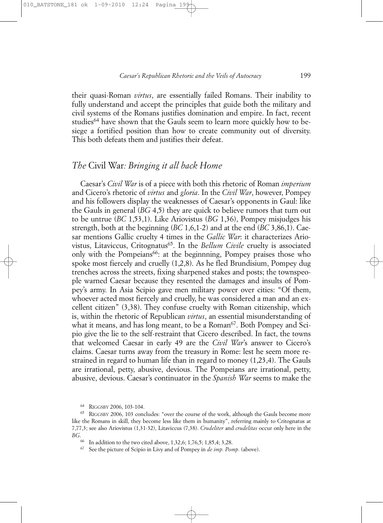their quasi-Roman *virtus*, are essentially failed Romans. Their inability to fully understand and accept the principles that guide both the military and civil systems of the Romans justifies domination and empire. In fact, recent studies<sup>64</sup> have shown that the Gauls seem to learn more quickly how to besiege a fortified position than how to create community out of diversity. This both defeats them and justifies their defeat.

### *The* Civil War*: Bringing it all back Home*

Caesar's *Civil War* is of a piece with both this rhetoric of Roman *imperium* and Cicero's rhetoric of *virtus* and *gloria*. In the *Civil War*, however, Pompey and his followers display the weaknesses of Caesar's opponents in Gaul: like the Gauls in general (*BG* 4,5) they are quick to believe rumors that turn out to be untrue (*BC* 1,53,1). Like Ariovistus (*BG* 1,36), Pompey misjudges his strength, both at the beginning (*BC* 1,6,1-2) and at the end (*BC* 3,86,1). Caesar mentions Gallic cruelty 4 times in the *Gallic War*: it characterizes Ariovistus, Litaviccus, Critognatus<sup>65</sup>. In the *Bellum Civile* cruelty is associated only with the Pompeians<sup>66</sup>: at the beginnning, Pompey praises those who spoke most fiercely and cruelly (1,2,8). As he fled Brundisium, Pompey dug trenches across the streets, fixing sharpened stakes and posts; the townspeople warned Caesar because they resented the damages and insults of Pompey's army. In Asia Scipio gave men military power over cities: "Of them, whoever acted most fiercely and cruelly, he was considered a man and an excellent citizen" (3,38). They confuse cruelty with Roman citizenship, which is, within the rhetoric of Republican *virtus*, an essential misunderstanding of what it means, and has long meant, to be a Roman<sup>67</sup>. Both Pompey and Scipio give the lie to the self-restraint that Cicero described. In fact, the towns that welcomed Caesar in early 49 are the *Civil War*'s answer to Cicero's claims. Caesar turns away from the treasury in Rome: lest he seem more restrained in regard to human life than in regard to money (1,23,4). The Gauls are irrational, petty, abusive, devious. The Pompeians are irrational, petty, abusive, devious. Caesar's continuator in the *Spanish War* seems to make the

<sup>64</sup> RIGGSBY 2006, 103-104.

<sup>65</sup> RIGGSBY 2006, 103 concludes: "over the course of the work, although the Gauls become more like the Romans in skill, they become less like them in humanity", referring mainly to Critognatus at 7,77,3; see also Ariovistus (1,31-32), Litaviccus (7,38). *Crudeliter* and *crudelitas* occur only here in the *BG*.

<sup>66</sup> In addition to the two cited above, 1,32,6; 1,76,5; 1,85,4; 3,28.

<sup>67</sup> See the picture of Scipio in Livy and of Pompey in *de imp. Pomp.* (above).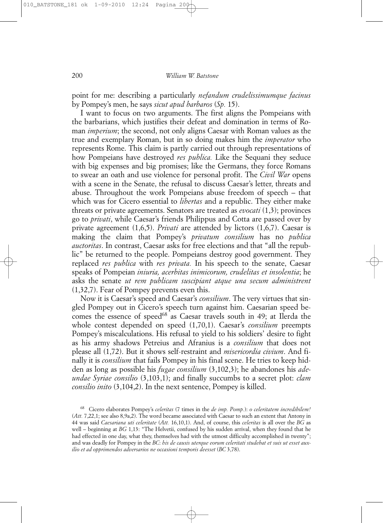point for me: describing a particularly *nefandum crudelissimumque facinus* by Pompey's men, he says *sicut apud barbaros* (*Sp.* 15).

I want to focus on two arguments. The first aligns the Pompeians with the barbarians, which justifies their defeat and domination in terms of Roman *imperium*; the second, not only aligns Caesar with Roman values as the true and exemplary Roman, but in so doing makes him the *imperator* who represents Rome. This claim is partly carried out through representations of how Pompeians have destroyed *res publica.* Like the Sequani they seduce with big expenses and big promises; like the Germans, they force Romans to swear an oath and use violence for personal profit. The *Civil War* opens with a scene in the Senate, the refusal to discuss Caesar's letter, threats and abuse. Throughout the work Pompeians abuse freedom of speech – that which was for Cicero essential to *libertas* and a republic. They either make threats or private agreements. Senators are treated as *evocati* (1,3); provinces go to *privati*, while Caesar's friends Philippus and Cotta are passed over by private agreement (1,6,5). *Privati* are attended by lictors (1,6,7). Caesar is making the claim that Pompey's *privatum consilium* has no *publica auctoritas*. In contrast, Caesar asks for free elections and that "all the republic" be returned to the people. Pompeians destroy good government. They replaced *res publica* with *res privata.* In his speech to the senate, Caesar speaks of Pompeian *iniuria, acerbitas inimicorum, crudelitas et insolentia*; he asks the senate *ut rem publicam suscipiant atque una secum administrent* (1,32,7). Fear of Pompey prevents even this.

Now it is Caesar's speed and Caesar's *consilium*. The very virtues that singled Pompey out in Cicero's speech turn against him. Caesarian speed becomes the essence of speed<sup>68</sup> as Caesar travels south in 49; at Ilerda the whole contest depended on speed (1,70,1). Caesar's *consilium* preempts Pompey's miscalculations. His refusal to yield to his soldiers' desire to fight as his army shadows Petreius and Afranius is a *consilium* that does not please all (1,72). But it shows self-restraint and *misericordia civium*. And finally it is *consilium* that fails Pompey in his final scene. He tries to keep hidden as long as possible his *fugae consilium* (3,102,3); he abandones his *adeundae Syriae consilio* (3,103,1); and finally succumbs to a secret plot: *clam consilio inito* (3,104,2). In the next sentence, Pompey is killed.

<sup>68</sup> Cicero elaborates Pompey's *celeritas* (7 times in the *de imp. Pomp.*): *o celeritatem incredibilem!* (*Att.* 7,22,1; see also 8,9a,2). The word became associated with Caesar to such an extent that Antony in 44 was said *Caesariana uti celeritate* (*Att.* 16,10,1). And, of course, this *celeritas* is all over the *BG* as well – beginning at *BG* 1,13: "The Helvetii, confused by his sudden arrival, when they found that he had effected in one day, what they, themselves had with the utmost difficulty accomplished in twenty"; and was deadly for Pompey in the *BC*: *his de causis uterque eorum celeritati studebat et suis ut esset auxilio et ad opprimendos adversarios ne occasioni temporis deesset* (*BC* 3,78).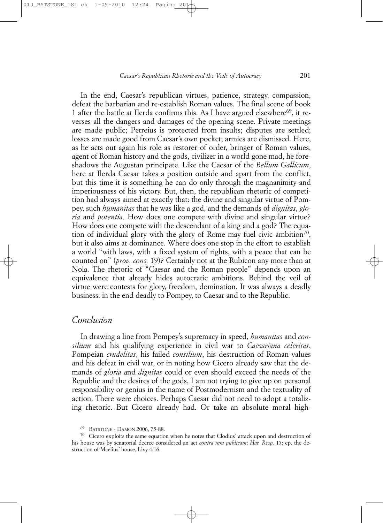In the end, Caesar's republican virtues, patience, strategy, compassion, defeat the barbarian and re-establish Roman values. The final scene of book 1 after the battle at Ilerda confirms this. As I have argued elsewhere<sup>69</sup>, it reverses all the dangers and damages of the opening scene. Private meetings are made public; Petreius is protected from insults; disputes are settled; losses are made good from Caesar's own pocket; armies are dismissed. Here, as he acts out again his role as restorer of order, bringer of Roman values, agent of Roman history and the gods, civilizer in a world gone mad, he foreshadows the Augustan principate. Like the Caesar of the *Bellum Gallicum*, here at Ilerda Caesar takes a position outside and apart from the conflict, but this time it is something he can do only through the magnanimity and imperiousness of his victory. But, then, the republican rhetoric of competition had always aimed at exactly that: the divine and singular virtue of Pompey, such *humanitas* that he was like a god, and the demands of *dignitas*, *gloria* and *potentia.* How does one compete with divine and singular virtue? How does one compete with the descendant of a king and a god? The equation of individual glory with the glory of Rome may fuel civic ambition<sup>70</sup>, but it also aims at dominance. Where does one stop in the effort to establish a world "with laws, with a fixed system of rights, with a peace that can be counted on" (*prov. cons.* 19)? Certainly not at the Rubicon any more than at Nola. The rhetoric of "Caesar and the Roman people" depends upon an equivalence that already hides autocratic ambitions. Behind the veil of virtue were contests for glory, freedom, domination. It was always a deadly business: in the end deadly to Pompey, to Caesar and to the Republic.

# *Conclusion*

In drawing a line from Pompey's supremacy in speed, *humanitas* and *consilium* and his qualifying experience in civil war to *Caesariana celeritas*, Pompeian *crudelitas*, his failed *consilium*, his destruction of Roman values and his defeat in civil war, or in noting how Cicero already saw that the demands of *gloria* and *dignitas* could or even should exceed the needs of the Republic and the desires of the gods, I am not trying to give up on personal responsibility or genius in the name of Postmodernism and the textuality of action. There were choices. Perhaps Caesar did not need to adopt a totalizing rhetoric. But Cicero already had. Or take an absolute moral high-

BATSTONE - DAMON 2006, 75-88.

<sup>70</sup> Cicero exploits the same equation when he notes that Clodius' attack upon and destruction of his house was by senatorial decree considered an act *contra rem publicam*: *Har. Resp.* 15; cp. the destruction of Maelius' house, Livy 4,16.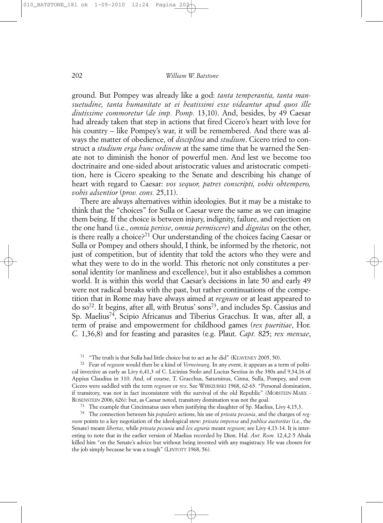ground. But Pompey was already like a god: *tanta temperantia, tanta mansuetudine, tanta humanitate ut ei beatissimi esse videantur apud quos ille diutissime commoretur* (*de imp. Pomp.* 13,10). And, besides, by 49 Caesar had already taken that step in actions that fired Cicero's heart with love for his country – like Pompey's war, it will be remembered. And there was always the matter of obedience, of *disciplina* and *studium*. Cicero tried to construct a *studium erga hunc ordinem* at the same time that he warned the Senate not to diminish the honor of powerful men. And lest we become too doctrinaire and one-sided about aristocratic values and aristocratic competition, here is Cicero speaking to the Senate and describing his change of heart with regard to Caesar: *vos sequor, patres conscripti, vobis obtempero, vobis adsentior* (*prov. cons.* 25,11).

There are always alternatives within ideologies. But it may be a mistake to think that the "choices" for Sulla or Caesar were the same as we can imagine them being. If the choice is between injury, indignity, failure, and rejection on the one hand (i.e., *omnia perisse*, *omnia permiscere*) and *dignitas* on the other, is there really a choice?71 Our understanding of the choices facing Caesar or Sulla or Pompey and others should, I think, be informed by the rhetoric, not just of competition, but of identity that told the actors who they were and what they were to do in the world. This rhetoric not only constitutes a personal identity (or manliness and excellence), but it also establishes a common world. It is within this world that Caesar's decisions in late 50 and early 49 were not radical breaks with the past, but rather continuations of the competition that in Rome may have always aimed at *regnum* or at least appeared to do so72. It begins, after all, with Brutus' sons73, and includes Sp. Cassius and Sp. Maelius74, Scipio Africanus and Tiberius Gracchus. It was, after all, a term of praise and empowerment for childhood games (*rex pueritiae*, Hor. *C.* 1,36,8) and for feasting and parasites (e.g. Plaut. *Capt.* 825; *rex mensae*,

<sup>71</sup> "The truth is that Sulla had little choice but to act as he did" (KEAVENEY 2005, 50).

<sup>72</sup> Fear of *regnum* would then be a kind of *Verneinung*. In any event, it appears as a term of political invective as early as Livy 6,41,3 of C. Licinius Stolo and Lucius Sextius in the 380s and 9,34,16 of Appius Claudius in 310. And, of course, T. Gracchus, Saturninus, Cinna, Sulla, Pompey, and even Cicero were saddled with the term *regnum* or *rex*. See WIRSZUBSKI 1968, 62-63. "Personal domination, if transitory, was not in fact inconsistent with the survival of the old Republic" (MORSTEIN-MARX - ROSENSTEIN 2006, 626): but, as Caesar noted, transitory domination was not the goal.<br><sup>73</sup> The example that Cincinnatus uses when justifying the slaughter of Sp. Maelius, Livy 4,15,3.

<sup>74</sup> The connection between his *popularis* actions, his use of *privata pecunia*, and the charges of *regnum* points to a key negotiation of the ideological stew: *privata impensa* and *publica auctoritas* (i.e., the Senate) meant *libertas*, while *privata pecunia* and *lex agraria* meant *regnum*; see Livy 4,13-14. It is interesting to note that in the earlier version of Maelius recorded by Dion. Hal. *Ant. Rom.* 12,4,2-5 Ahala killed him "on the Senate's advice but without being invested with any magistracy. He was chosen for the job simply because he was a tough" (LINTOTT 1968, 56).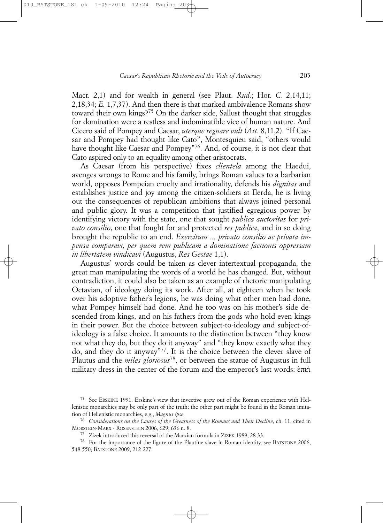Macr. 2,1) and for wealth in general (see Plaut. *Rud.*; Hor. *C.* 2,14,11; 2,18,34; *E.* 1,7,37). And then there is that marked ambivalence Romans show toward their own kings?75 On the darker side, Sallust thought that struggles for domination were a restless and indominatible vice of human nature. And Cicero said of Pompey and Caesar, *uterque regnare vult* (*Att*. 8,11,2). "If Caesar and Pompey had thought like Cato", Montesquieu said, "others would have thought like Caesar and Pompey"<sup>76</sup>. And, of course, it is not clear that Cato aspired only to an equality among other aristocrats.

As Caesar (from his perspective) fixes *clientela* among the Haedui, avenges wrongs to Rome and his family, brings Roman values to a barbarian world, opposes Pompeian cruelty and irrationality, defends his *dignitas* and establishes justice and joy among the citizen-soldiers at Ilerda, he is living out the consequences of republican ambitions that always joined personal and public glory. It was a competition that justified egregious power by identifying victory with the state, one that sought *publica auctoritas* for *privato consilio*, one that fought for and protected *res publica*, and in so doing brought the republic to an end. *Exercitum ... privato consilio ac privata impensa comparavi, per quem rem publicam a dominatione factionis oppressam in libertatem vindicavi* (Augustus, *Res Gestae* 1,1).

Augustus' words could be taken as clever intertextual propaganda, the great man manipulating the words of a world he has changed. But, without contradiction, it could also be taken as an example of rhetoric manipulating Octavian, of ideology doing its work. After all, at eighteen when he took over his adoptive father's legions, he was doing what other men had done, what Pompey himself had done. And he too was on his mother's side descended from kings, and on his fathers from the gods who hold even kings in their power. But the choice between subject-to-ideology and subject-ofideology is a false choice. It amounts to the distinction between "they know not what they do, but they do it anyway" and "they know exactly what they do, and they do it anyway"77. It is the choice between the clever slave of Plautus and the *miles gloriosus*78, or between the statue of Augustus in full military dress in the center of the forum and the emperor's last words:  $\epsilon \pi \epsilon i$ 

<sup>75</sup> See ERSKINE 1991. Erskine's view that invective grew out of the Roman experience with Hellenistic monarchies may be only part of the truth; the other part might be found in the Roman imitation of Hellenistic monarchies, e.g., *Magnus ipse.*

<sup>76</sup> *Considerations on the Causes of the Greatness of the Romans and Their Decline*, ch. 11, cited in MORSTEIN-MARX - ROSENSTEIN 2006, 629; 636 n. 8.

<sup>77</sup> Zizek introduced this reversal of the Marxian formula in ZIZEK 1989, 28-33.

<sup>&</sup>lt;sup>78</sup> For the importance of the figure of the Plautine slave in Roman identity, see BATSTONE 2006, 548-550; BATSTONE 2009, 212-227.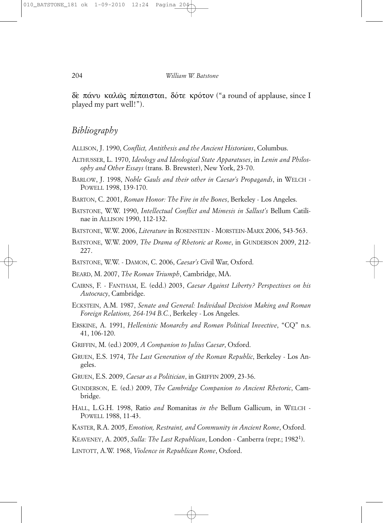δε πάνυ καλώς πέπαισται, δότε κρότον ("a round of applause, since I played my part well!").

# *Bibliography*

ALLISON, J. 1990, *Conflict, Antithesis and the Ancient Historians*, Columbus.

- ALTHUSSER, L. 1970, *Ideology and Ideological State Apparatuses*, in *Lenin and Philosophy and Other Essays* (trans. B. Brewster), New York, 23-70.
- BARLOW, J. 1998, *Noble Gauls and their other in Caesar's Propagands*, in WELCH POWELL 1998, 139-170.
- BARTON, C. 2001, *Roman Honor: The Fire in the Bones*, Berkeley Los Angeles.
- BATSTONE, W.W. 1990, *Intellectual Conflict and Mimesis in Sallust's* Bellum Catilinae in ALLISON 1990, 112-132.
- BATSTONE, W.W. 2006, *Literature* in ROSENSTEIN MORSTEIN-MARX 2006, 543-563.
- BATSTONE, W.W. 2009, *The Drama of Rhetoric at Rome*, in GUNDERSON 2009, 212- 227.
- BATSTONE, W.W. DAMON, C. 2006, *Caesar's* Civil War, Oxford.
- BEARD, M. 2007, *The Roman Triumph*, Cambridge, MA.
- CAIRNS, F. FANTHAM, E. (edd.) 2003, *Caesar Against Liberty? Perspectives on his Autocracy*, Cambridge.
- ECKSTEIN, A.M. 1987, *Senate and General: Individual Decision Making and Roman Foreign Relations, 264-194 B.C.*, Berkeley - Los Angeles.
- ERSKINE, A. 1991, *Hellenistic Monarchy and Roman Political Invective*, "CQ" n.s. 41, 106-120.
- GRIFFIN, M. (ed.) 2009, *A Companion to Julius Caesar*, Oxford.
- GRUEN, E.S. 1974, *The Last Generation of the Roman Republic*, Berkeley Los Angeles.
- GRUEN, E.S. 2009, *Caesar as a Politician*, in GRIFFIN 2009, 23-36.
- GUNDERSON, E. (ed.) 2009, *The Cambridge Companion to Ancient Rhetoric*, Cambridge.
- HALL, L.G.H. 1998, Ratio *and* Romanitas *in the* Bellum Gallicum, in WELCH POWELL 1988, 11-43.
- KASTER, R.A. 2005, *Emotion, Restraint, and Community in Ancient Rome*, Oxford.
- KEAVENEY, A. 2005, *Sulla: The Last Republican*, London Canberra (repr.; 19821).
- LINTOTT, A.W. 1968, *Violence in Republican Rome*, Oxford.